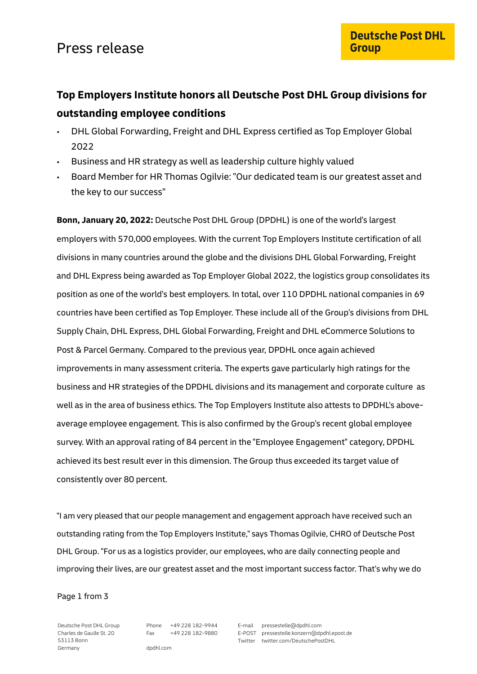### **Top Employers Institute honors all Deutsche Post DHL Group divisions for outstanding employee conditions**

- DHL Global Forwarding, Freight and DHL Express certified as Top Employer Global 2022
- Business and HR strategy as well as leadership culture highly valued
- Board Member for HR Thomas Ogilvie: "Our dedicated team is our greatest asset and the key to our success"

**Bonn, January 20, 2022:** Deutsche Post DHL Group (DPDHL) is one of the world's largest employers with 570,000 employees. With the current Top Employers Institute certification of all divisions in many countries around the globe and the divisions DHL Global Forwarding, Freight and DHL Express being awarded as Top Employer Global 2022, the logistics group consolidates its position as one of the world's best employers. In total, over 110 DPDHL national companies in 69 countries have been certified as Top Employer. These include all of the Group's divisions from DHL Supply Chain, DHL Express, DHL Global Forwarding, Freight and DHL eCommerce Solutions to Post & Parcel Germany. Compared to the previous year, DPDHL once again achieved improvements in many assessment criteria. The experts gave particularly high ratings for the business and HR strategies of the DPDHL divisions and its management and corporate culture as well as in the area of business ethics. The Top Employers Institute also attests to DPDHL's aboveaverage employee engagement. This is also confirmed by the Group's recent global employee survey. With an approval rating of 84 percent in the "Employee Engagement" category, DPDHL achieved its best result ever in this dimension. The Group thus exceeded its target value of consistently over 80 percent.

"I am very pleased that our people management and engagement approach have received such an outstanding rating from the Top Employers Institute," says Thomas Ogilvie, CHRO of Deutsche Post DHL Group. "For us as a logistics provider, our employees, who are daily connecting people and improving their lives, are our greatest asset and the most important success factor. That's why we do

Page 1 from 3

Deutsche Post DHL Group Charles de Gaulle St. 20 53113 Bonn Germany

Phone +49 228 182-9944 Fax +49 228 182-9880 E-mail pressestelle@dpdhl.com E-POST pressestelle.konzern@dpdhl.epost.de Twitter twitter.com/DeutschePostDHL

dpdhl.com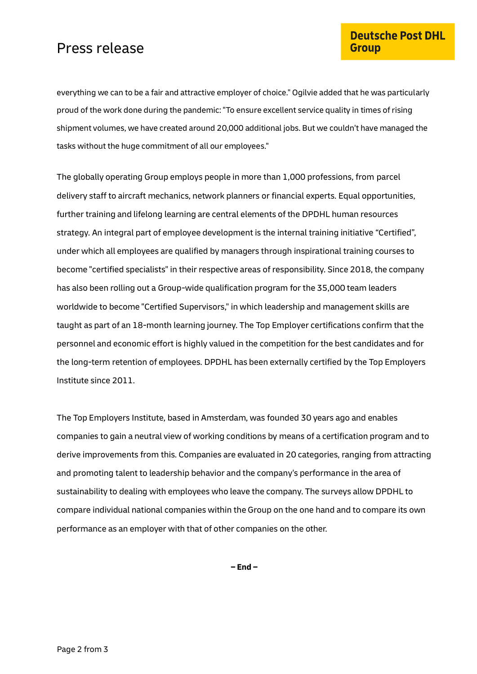## Press release

everything we can to be a fair and attractive employer of choice." Ogilvie added that he was particularly proud of the work done during the pandemic: "To ensure excellent service quality in times of rising shipment volumes, we have created around 20,000 additional jobs. But we couldn't have managed the tasks without the huge commitment of all our employees."

The globally operating Group employs people in more than 1,000 professions, from parcel delivery staff to aircraft mechanics, network planners or financial experts. Equal opportunities, further training and lifelong learning are central elements of the DPDHL human resources strategy. An integral part of employee development is the internal training initiative "Certified", under which all employees are qualified by managers through inspirational training courses to become "certified specialists" in their respective areas of responsibility. Since 2018, the company has also been rolling out a Group-wide qualification program for the 35,000 team leaders worldwide to become "Certified Supervisors," in which leadership and management skills are taught as part of an 18-month learning journey. The Top Employer certifications confirm that the personnel and economic effort is highly valued in the competition for the best candidates and for the long-term retention of employees. DPDHL has been externally certified by the Top Employers Institute since 2011.

The Top Employers Institute, based in Amsterdam, was founded 30 years ago and enables companies to gain a neutral view of working conditions by means of a certification program and to derive improvements from this. Companies are evaluated in 20 categories, ranging from attracting and promoting talent to leadership behavior and the company's performance in the area of sustainability to dealing with employees who leave the company. The surveys allow DPDHL to compare individual national companies within the Group on the one hand and to compare its own performance as an employer with that of other companies on the other.

**– End –**